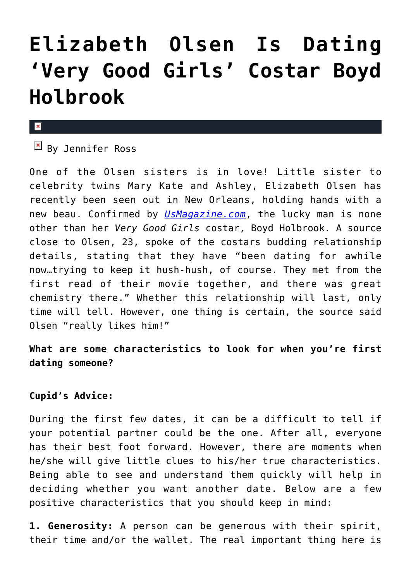## **[Elizabeth Olsen Is Dating](https://cupidspulse.com/41005/elizabeth-olsen-dating-very-good-girls-costar-boyd-holbrook/) ['Very Good Girls' Costar Boyd](https://cupidspulse.com/41005/elizabeth-olsen-dating-very-good-girls-costar-boyd-holbrook/) [Holbrook](https://cupidspulse.com/41005/elizabeth-olsen-dating-very-good-girls-costar-boyd-holbrook/)**

## $\mathbf{x}$

 $\overline{B}$  By Jennifer Ross

One of the Olsen sisters is in love! Little sister to celebrity twins Mary Kate and Ashley, Elizabeth Olsen has recently been seen out in New Orleans, holding hands with a new beau. Confirmed by *[UsMagazine.com](http://www.usmagazine.com/celebrity-news/news/picture-elizabeth-olsen-dating-very-good-girls-costar-boyd-holbrook-2012511)*, the lucky man is none other than her *Very Good Girls* costar, Boyd Holbrook. A source close to Olsen, 23, spoke of the costars budding relationship details, stating that they have "been dating for awhile now…trying to keep it hush-hush, of course. They met from the first read of their movie together, and there was great chemistry there." Whether this relationship will last, only time will tell. However, one thing is certain, the source said Olsen "really likes him!"

**What are some characteristics to look for when you're first dating someone?**

## **Cupid's Advice:**

During the first few dates, it can be a difficult to tell if your potential partner could be the one. After all, everyone has their best foot forward. However, there are moments when he/she will give little clues to his/her true characteristics. Being able to see and understand them quickly will help in deciding whether you want another date. Below are a few positive characteristics that you should keep in mind:

**1. Generosity:** A person can be generous with their spirit, their time and/or the wallet. The real important thing here is